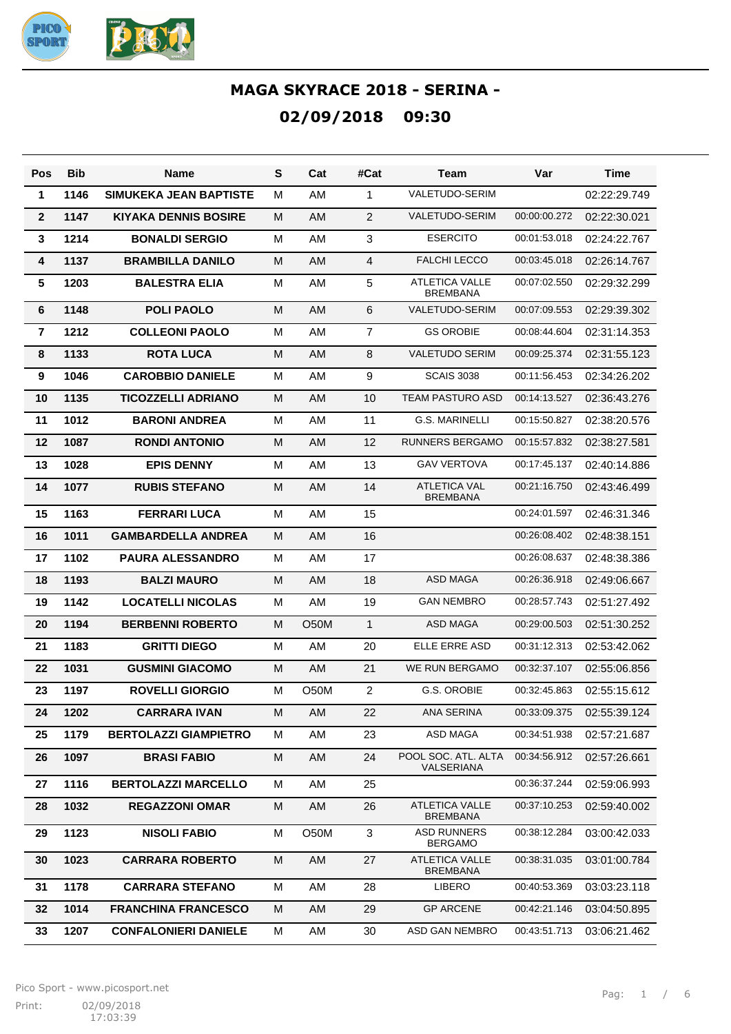

| Pos             | <b>Bib</b> | <b>Name</b>                   | S | Cat               | #Cat           | Team                                     | Var          | Time         |
|-----------------|------------|-------------------------------|---|-------------------|----------------|------------------------------------------|--------------|--------------|
| $\mathbf{1}$    | 1146       | <b>SIMUKEKA JEAN BAPTISTE</b> | м | AM                | 1              | <b>VALETUDO-SERIM</b>                    |              | 02:22:29.749 |
| $\mathbf{2}$    | 1147       | <b>KIYAKA DENNIS BOSIRE</b>   | м | AM                | 2              | <b>VALETUDO-SERIM</b>                    | 00:00:00.272 | 02:22:30.021 |
| $\mathbf{3}$    | 1214       | <b>BONALDI SERGIO</b>         | М | AM                | $\mathbf{3}$   | <b>ESERCITO</b>                          | 00:01:53.018 | 02:24:22.767 |
| 4               | 1137       | <b>BRAMBILLA DANILO</b>       | М | AM                | $\overline{4}$ | <b>FALCHI LECCO</b>                      | 00:03:45.018 | 02:26:14.767 |
| $5\phantom{.0}$ | 1203       | <b>BALESTRA ELIA</b>          | М | AM                | 5              | <b>ATLETICA VALLE</b><br><b>BREMBANA</b> | 00:07:02.550 | 02:29:32.299 |
| 6               | 1148       | <b>POLI PAOLO</b>             | M | AM                | 6              | VALETUDO-SERIM                           | 00:07:09.553 | 02:29:39.302 |
| $\overline{7}$  | 1212       | <b>COLLEONI PAOLO</b>         | м | AM                | $\overline{7}$ | <b>GS OROBIE</b>                         | 00:08:44.604 | 02:31:14.353 |
| 8               | 1133       | <b>ROTA LUCA</b>              | M | AM                | 8              | <b>VALETUDO SERIM</b>                    | 00:09:25.374 | 02:31:55.123 |
| 9               | 1046       | <b>CAROBBIO DANIELE</b>       | м | AM                | 9              | <b>SCAIS 3038</b>                        | 00:11:56.453 | 02:34:26.202 |
| 10              | 1135       | <b>TICOZZELLI ADRIANO</b>     | м | AM                | 10             | <b>TEAM PASTURO ASD</b>                  | 00:14:13.527 | 02:36:43.276 |
| 11              | 1012       | <b>BARONI ANDREA</b>          | м | AM                | 11             | <b>G.S. MARINELLI</b>                    | 00:15:50.827 | 02:38:20.576 |
| 12              | 1087       | <b>RONDI ANTONIO</b>          | м | AM                | 12             | <b>RUNNERS BERGAMO</b>                   | 00:15:57.832 | 02:38:27.581 |
| 13              | 1028       | <b>EPIS DENNY</b>             | м | AM                | 13             | <b>GAV VERTOVA</b>                       | 00:17:45.137 | 02:40:14.886 |
| 14              | 1077       | <b>RUBIS STEFANO</b>          | M | AM                | 14             | <b>ATLETICA VAL</b><br><b>BREMBANA</b>   | 00:21:16.750 | 02:43:46.499 |
| 15              | 1163       | <b>FERRARI LUCA</b>           | М | AM                | 15             |                                          | 00:24:01.597 | 02:46:31.346 |
| 16              | 1011       | <b>GAMBARDELLA ANDREA</b>     | м | AM                | 16             |                                          | 00:26:08.402 | 02:48:38.151 |
| 17              | 1102       | <b>PAURA ALESSANDRO</b>       | М | AM                | 17             |                                          | 00:26:08.637 | 02:48:38.386 |
| 18              | 1193       | <b>BALZI MAURO</b>            | м | AM                | 18             | <b>ASD MAGA</b>                          | 00:26:36.918 | 02:49:06.667 |
| 19              | 1142       | <b>LOCATELLI NICOLAS</b>      | м | AM                | 19             | <b>GAN NEMBRO</b>                        | 00:28:57.743 | 02:51:27.492 |
| 20              | 1194       | <b>BERBENNI ROBERTO</b>       | м | O <sub>5</sub> 0M | $\mathbf{1}$   | <b>ASD MAGA</b>                          | 00:29:00.503 | 02:51:30.252 |
| 21              | 1183       | <b>GRITTI DIEGO</b>           | М | AM                | 20             | <b>ELLE ERRE ASD</b>                     | 00:31:12.313 | 02:53:42.062 |
| 22              | 1031       | <b>GUSMINI GIACOMO</b>        | м | AM                | 21             | WE RUN BERGAMO                           | 00:32:37.107 | 02:55:06.856 |
| 23              | 1197       | <b>ROVELLI GIORGIO</b>        | M | O50M              | $\overline{2}$ | G.S. OROBIE                              | 00:32:45.863 | 02:55:15.612 |
| 24              | 1202       | <b>CARRARA IVAN</b>           | М | AM                | 22             | ANA SERINA                               | 00:33:09.375 | 02:55:39.124 |
| 25              | 1179       | <b>BERTOLAZZI GIAMPIETRO</b>  | м | AM                | 23             | ASD MAGA                                 | 00:34:51.938 | 02:57:21.687 |
| 26              | 1097       | <b>BRASI FABIO</b>            | м | AM                | 24             | POOL SOC. ATL. ALTA<br>VALSERIANA        | 00:34:56.912 | 02:57:26.661 |
| 27              | 1116       | <b>BERTOLAZZI MARCELLO</b>    | М | AM                | 25             |                                          | 00:36:37.244 | 02:59:06.993 |
| 28              | 1032       | <b>REGAZZONI OMAR</b>         | М | AM                | 26             | <b>ATLETICA VALLE</b><br><b>BREMBANA</b> | 00:37:10.253 | 02:59:40.002 |
| 29              | 1123       | <b>NISOLI FABIO</b>           | М | O50M              | 3              | ASD RUNNERS<br><b>BERGAMO</b>            | 00:38:12.284 | 03:00:42.033 |
| 30              | 1023       | <b>CARRARA ROBERTO</b>        | м | AM                | 27             | ATLETICA VALLE<br>BREMBANA               | 00:38:31.035 | 03:01:00.784 |
| 31              | 1178       | <b>CARRARA STEFANO</b>        | М | AM                | 28             | LIBERO                                   | 00:40:53.369 | 03:03:23.118 |
| 32              | 1014       | <b>FRANCHINA FRANCESCO</b>    | М | AM                | 29             | <b>GP ARCENE</b>                         | 00:42:21.146 | 03:04:50.895 |
| 33              | 1207       | <b>CONFALONIERI DANIELE</b>   | Μ | AM                | 30             | ASD GAN NEMBRO                           | 00:43:51.713 | 03:06:21.462 |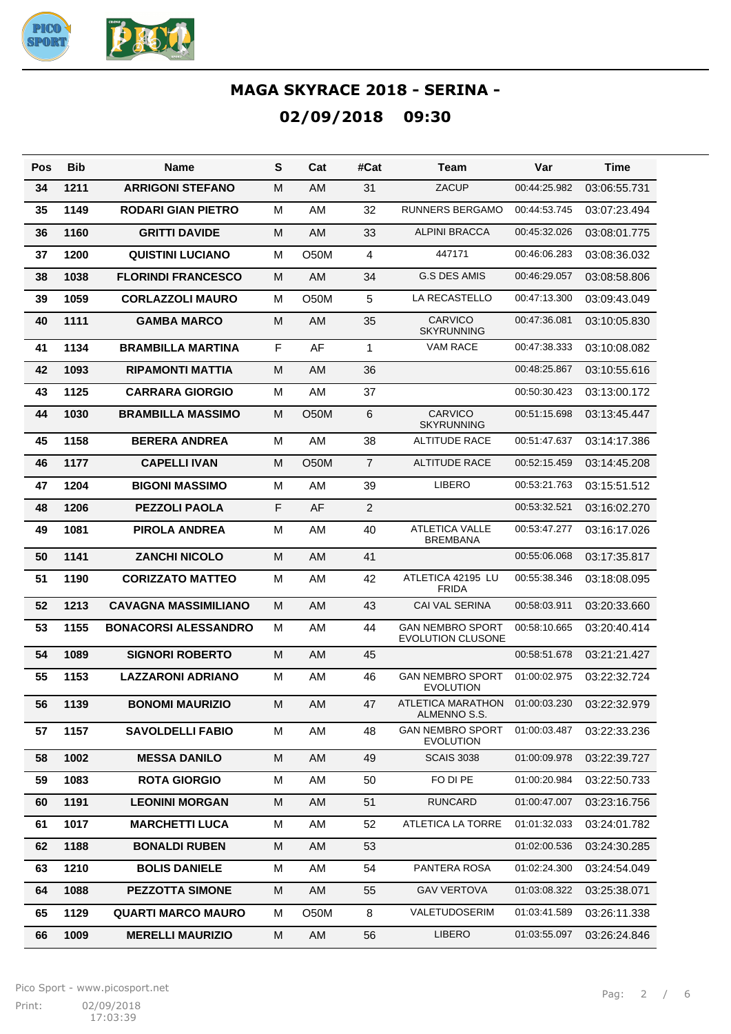

| Pos | <b>Bib</b> | Name                        | S | Cat               | #Cat           | Team                                                | Var          | Time         |
|-----|------------|-----------------------------|---|-------------------|----------------|-----------------------------------------------------|--------------|--------------|
| 34  | 1211       | <b>ARRIGONI STEFANO</b>     | м | AM                | 31             | ZACUP                                               | 00:44:25.982 | 03:06:55.731 |
| 35  | 1149       | RODARI GIAN PIETRO          | м | AM                | 32             | RUNNERS BERGAMO                                     | 00:44:53.745 | 03:07:23.494 |
| 36  | 1160       | <b>GRITTI DAVIDE</b>        | м | AM                | 33             | <b>ALPINI BRACCA</b>                                | 00:45:32.026 | 03:08:01.775 |
| 37  | 1200       | QUISTINI LUCIANO            | м | O <sub>5</sub> 0M | 4              | 447171                                              | 00:46:06.283 | 03:08:36.032 |
| 38  | 1038       | <b>FLORINDI FRANCESCO</b>   | м | AM                | 34             | <b>G.S DES AMIS</b>                                 | 00:46:29.057 | 03:08:58.806 |
| 39  | 1059       | <b>CORLAZZOLI MAURO</b>     | м | <b>O50M</b>       | 5              | LA RECASTELLO                                       | 00:47:13.300 | 03:09:43.049 |
| 40  | 1111       | <b>GAMBA MARCO</b>          | м | AM                | 35             | <b>CARVICO</b><br><b>SKYRUNNING</b>                 | 00:47:36.081 | 03:10:05.830 |
| 41  | 1134       | <b>BRAMBILLA MARTINA</b>    | F | AF                | $\mathbf{1}$   | VAM RACE                                            | 00:47:38.333 | 03:10:08.082 |
| 42  | 1093       | <b>RIPAMONTI MATTIA</b>     | M | AM                | 36             |                                                     | 00:48:25.867 | 03:10:55.616 |
| 43  | 1125       | <b>CARRARA GIORGIO</b>      | M | AM                | 37             |                                                     | 00:50:30.423 | 03:13:00.172 |
| 44  | 1030       | <b>BRAMBILLA MASSIMO</b>    | M | O <sub>5</sub> 0M | 6              | <b>CARVICO</b><br><b>SKYRUNNING</b>                 | 00:51:15.698 | 03:13:45.447 |
| 45  | 1158       | <b>BERERA ANDREA</b>        | M | AM                | 38             | ALTITUDE RACE                                       | 00:51:47.637 | 03:14:17.386 |
| 46  | 1177       | <b>CAPELLI IVAN</b>         | M | O <sub>5</sub> 0M | $\overline{7}$ | <b>ALTITUDE RACE</b>                                | 00:52:15.459 | 03:14:45.208 |
| 47  | 1204       | <b>BIGONI MASSIMO</b>       | M | AM                | 39             | <b>LIBERO</b>                                       | 00:53:21.763 | 03:15:51.512 |
| 48  | 1206       | <b>PEZZOLI PAOLA</b>        | F | AF                | $\overline{2}$ |                                                     | 00:53:32.521 | 03:16:02.270 |
| 49  | 1081       | PIROLA ANDREA               | M | AM                | 40             | <b>ATLETICA VALLE</b><br><b>BREMBANA</b>            | 00:53:47.277 | 03:16:17.026 |
| 50  | 1141       | <b>ZANCHI NICOLO</b>        | M | AM                | 41             |                                                     | 00:55:06.068 | 03:17:35.817 |
| 51  | 1190       | <b>CORIZZATO MATTEO</b>     | м | AM                | 42             | ATLETICA 42195 LU<br><b>FRIDA</b>                   | 00:55:38.346 | 03:18:08.095 |
| 52  | 1213       | <b>CAVAGNA MASSIMILIANO</b> | M | AM                | 43             | <b>CAI VAL SERINA</b>                               | 00:58:03.911 | 03:20:33.660 |
| 53  | 1155       | <b>BONACORSI ALESSANDRO</b> | M | AM                | 44             | <b>GAN NEMBRO SPORT</b><br><b>EVOLUTION CLUSONE</b> | 00:58:10.665 | 03:20:40.414 |
| 54  | 1089       | <b>SIGNORI ROBERTO</b>      | M | AM                | 45             |                                                     | 00:58:51.678 | 03:21:21.427 |
| 55  | 1153       | <b>LAZZARONI ADRIANO</b>    | м | AM                | 46             | <b>GAN NEMBRO SPORT</b><br><b>EVOLUTION</b>         | 01:00:02.975 | 03:22:32.724 |
| 56  | 1139       | <b>BONOMI MAURIZIO</b>      | м | AM                | 47             | ATLETICA MARATHON<br>ALMENNO S.S.                   | 01:00:03.230 | 03:22:32.979 |
| 57  | 1157       | <b>SAVOLDELLI FABIO</b>     | M | AM                | 48             | <b>GAN NEMBRO SPORT</b><br><b>EVOLUTION</b>         | 01:00:03.487 | 03:22:33.236 |
| 58  | 1002       | <b>MESSA DANILO</b>         | M | AM                | 49             | <b>SCAIS 3038</b>                                   | 01:00:09.978 | 03:22:39.727 |
| 59  | 1083       | <b>ROTA GIORGIO</b>         | М | AM                | 50             | FO DI PE                                            | 01:00:20.984 | 03:22:50.733 |
| 60  | 1191       | <b>LEONINI MORGAN</b>       | M | AM                | 51             | <b>RUNCARD</b>                                      | 01:00:47.007 | 03:23:16.756 |
| 61  | 1017       | <b>MARCHETTI LUCA</b>       | М | AM                | 52             | ATLETICA LA TORRE                                   | 01:01:32.033 | 03:24:01.782 |
| 62  | 1188       | <b>BONALDI RUBEN</b>        | M | AM                | 53             |                                                     | 01:02:00.536 | 03:24:30.285 |
| 63  | 1210       | <b>BOLIS DANIELE</b>        | М | AM                | 54             | PANTERA ROSA                                        | 01:02:24.300 | 03:24:54.049 |
| 64  | 1088       | <b>PEZZOTTA SIMONE</b>      | M | AM                | 55             | <b>GAV VERTOVA</b>                                  | 01:03:08.322 | 03:25:38.071 |
| 65  | 1129       | <b>QUARTI MARCO MAURO</b>   | М | O50M              | 8              | VALETUDOSERIM                                       | 01:03:41.589 | 03:26:11.338 |
| 66  | 1009       | <b>MERELLI MAURIZIO</b>     | M | AM                | 56             | LIBERO                                              | 01:03:55.097 | 03:26:24.846 |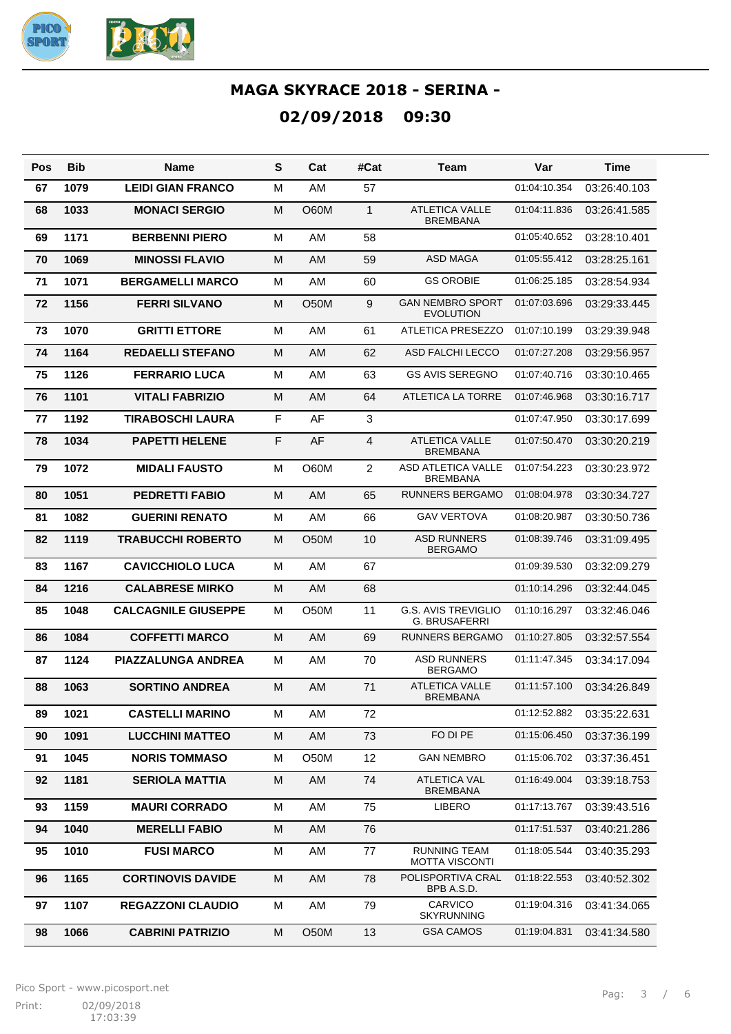

| Pos | Bib  | Name                       | S | Cat               | #Cat           | Team                                               | Var          | Time         |
|-----|------|----------------------------|---|-------------------|----------------|----------------------------------------------------|--------------|--------------|
| 67  | 1079 | <b>LEIDI GIAN FRANCO</b>   | M | AM                | 57             |                                                    | 01:04:10.354 | 03:26:40.103 |
| 68  | 1033 | <b>MONACI SERGIO</b>       | M | O60M              | $\mathbf{1}$   | <b>ATLETICA VALLE</b><br><b>BREMBANA</b>           | 01:04:11.836 | 03:26:41.585 |
| 69  | 1171 | <b>BERBENNI PIERO</b>      | M | AM                | 58             |                                                    | 01:05:40.652 | 03:28:10.401 |
| 70  | 1069 | <b>MINOSSI FLAVIO</b>      | M | AM                | 59             | <b>ASD MAGA</b>                                    | 01:05:55.412 | 03:28:25.161 |
| 71  | 1071 | <b>BERGAMELLI MARCO</b>    | M | AM                | 60             | <b>GS OROBIE</b>                                   | 01:06:25.185 | 03:28:54.934 |
| 72  | 1156 | <b>FERRI SILVANO</b>       | м | <b>O50M</b>       | 9              | <b>GAN NEMBRO SPORT</b><br><b>EVOLUTION</b>        | 01:07:03.696 | 03:29:33.445 |
| 73  | 1070 | <b>GRITTI ETTORE</b>       | M | AM                | 61             | ATLETICA PRESEZZO                                  | 01:07:10.199 | 03:29:39.948 |
| 74  | 1164 | <b>REDAELLI STEFANO</b>    | M | <b>AM</b>         | 62             | <b>ASD FALCHI LECCO</b>                            | 01:07:27.208 | 03:29:56.957 |
| 75  | 1126 | <b>FERRARIO LUCA</b>       | M | AM                | 63             | <b>GS AVIS SEREGNO</b>                             | 01:07:40.716 | 03:30:10.465 |
| 76  | 1101 | <b>VITALI FABRIZIO</b>     | M | <b>AM</b>         | 64             | <b>ATLETICA LA TORRE</b>                           | 01:07:46.968 | 03:30:16.717 |
| 77  | 1192 | <b>TIRABOSCHI LAURA</b>    | F | AF                | 3              |                                                    | 01:07:47.950 | 03:30:17.699 |
| 78  | 1034 | <b>PAPETTI HELENE</b>      | F | AF                | 4              | <b>ATLETICA VALLE</b><br><b>BREMBANA</b>           | 01:07:50.470 | 03:30:20.219 |
| 79  | 1072 | <b>MIDALI FAUSTO</b>       | M | O60M              | $\overline{a}$ | <b>ASD ATLETICA VALLE</b><br><b>BREMBANA</b>       | 01:07:54.223 | 03:30:23.972 |
| 80  | 1051 | <b>PEDRETTI FABIO</b>      | M | AM                | 65             | <b>RUNNERS BERGAMO</b>                             | 01:08:04.978 | 03:30:34.727 |
| 81  | 1082 | <b>GUERINI RENATO</b>      | M | AM                | 66             | <b>GAV VERTOVA</b>                                 | 01:08:20.987 | 03:30:50.736 |
| 82  | 1119 | <b>TRABUCCHI ROBERTO</b>   | м | <b>O50M</b>       | 10             | <b>ASD RUNNERS</b><br><b>BERGAMO</b>               | 01:08:39.746 | 03:31:09.495 |
| 83  | 1167 | <b>CAVICCHIOLO LUCA</b>    | M | AM                | 67             |                                                    | 01:09:39.530 | 03:32:09.279 |
| 84  | 1216 | <b>CALABRESE MIRKO</b>     | M | <b>AM</b>         | 68             |                                                    | 01:10:14.296 | 03:32:44.045 |
| 85  | 1048 | <b>CALCAGNILE GIUSEPPE</b> | M | <b>O50M</b>       | 11             | <b>G.S. AVIS TREVIGLIO</b><br><b>G. BRUSAFERRI</b> | 01:10:16.297 | 03:32:46.046 |
| 86  | 1084 | <b>COFFETTI MARCO</b>      | M | AM                | 69             | <b>RUNNERS BERGAMO</b>                             | 01:10:27.805 | 03:32:57.554 |
| 87  | 1124 | <b>PIAZZALUNGA ANDREA</b>  | M | AM                | 70             | <b>ASD RUNNERS</b><br><b>BERGAMO</b>               | 01:11:47.345 | 03:34:17.094 |
| 88  | 1063 | <b>SORTINO ANDREA</b>      | M | AM                | 71             | <b>ATLETICA VALLE</b><br><b>BREMBANA</b>           | 01:11:57.100 | 03:34:26.849 |
| 89  | 1021 | <b>CASTELLI MARINO</b>     | м | AM                | 72             |                                                    | 01:12:52.882 | 03:35:22.631 |
| 90  | 1091 | <b>LUCCHINI MATTEO</b>     | М | AM                | 73             | FO DI PE                                           | 01:15:06.450 | 03:37:36.199 |
| 91  | 1045 | <b>NORIS TOMMASO</b>       | м | O50M              | 12             | <b>GAN NEMBRO</b>                                  | 01:15:06.702 | 03:37:36.451 |
| 92  | 1181 | <b>SERIOLA MATTIA</b>      | М | AM                | 74             | <b>ATLETICA VAL</b><br><b>BREMBANA</b>             | 01:16:49.004 | 03:39:18.753 |
| 93  | 1159 | <b>MAURI CORRADO</b>       | м | AM                | 75             | LIBERO                                             | 01:17:13.767 | 03:39:43.516 |
| 94  | 1040 | <b>MERELLI FABIO</b>       | М | AM                | 76             |                                                    | 01:17:51.537 | 03:40:21.286 |
| 95  | 1010 | <b>FUSI MARCO</b>          | м | AM                | 77             | <b>RUNNING TEAM</b><br><b>MOTTA VISCONTI</b>       | 01:18:05.544 | 03:40:35.293 |
| 96  | 1165 | <b>CORTINOVIS DAVIDE</b>   | M | AM                | 78             | POLISPORTIVA CRAL<br>BPB A.S.D.                    | 01:18:22.553 | 03:40:52.302 |
| 97  | 1107 | <b>REGAZZONI CLAUDIO</b>   | M | AM                | 79             | CARVICO<br><b>SKYRUNNING</b>                       | 01:19:04.316 | 03:41:34.065 |
| 98  | 1066 | <b>CABRINI PATRIZIO</b>    | М | O <sub>5</sub> 0M | 13             | <b>GSA CAMOS</b>                                   | 01:19:04.831 | 03:41:34.580 |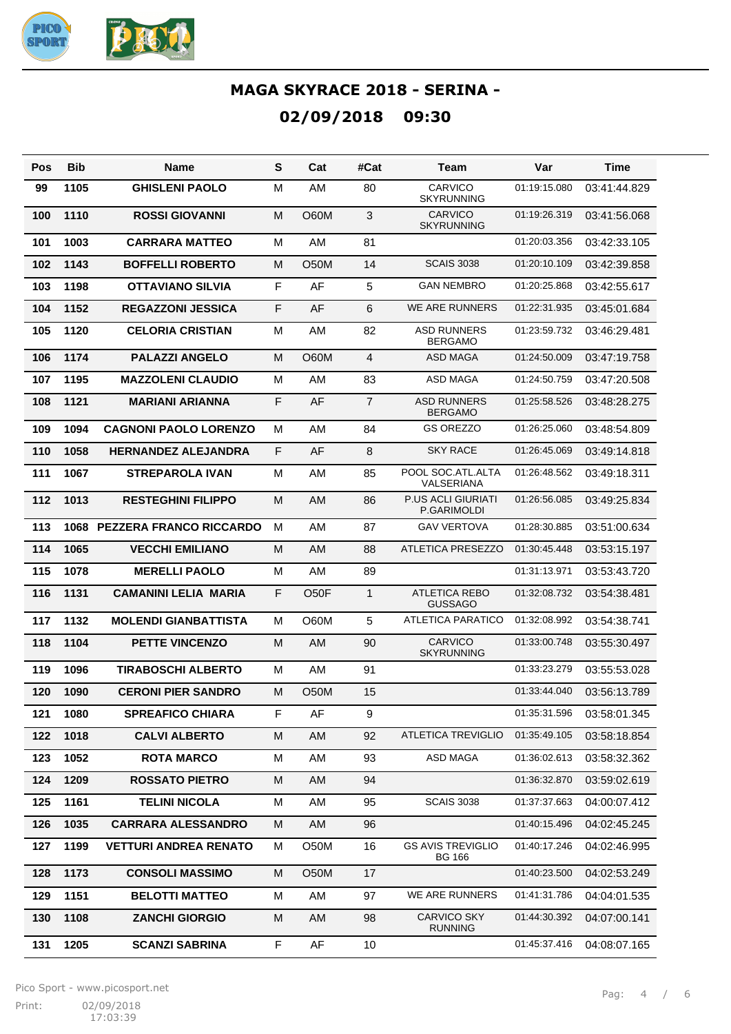

| Pos | <b>Bib</b> | <b>Name</b>                    | S | Cat               | #Cat           | Team                                      | Var          | Time         |
|-----|------------|--------------------------------|---|-------------------|----------------|-------------------------------------------|--------------|--------------|
| 99  | 1105       | <b>GHISLENI PAOLO</b>          | м | AM                | 80             | CARVICO<br><b>SKYRUNNING</b>              | 01:19:15.080 | 03:41:44.829 |
| 100 | 1110       | <b>ROSSI GIOVANNI</b>          | M | O60M              | $\mathbf{3}$   | <b>CARVICO</b><br><b>SKYRUNNING</b>       | 01:19:26.319 | 03:41:56.068 |
| 101 | 1003       | <b>CARRARA MATTEO</b>          | M | AM                | 81             |                                           | 01:20:03.356 | 03:42:33.105 |
| 102 | 1143       | <b>BOFFELLI ROBERTO</b>        | M | <b>O50M</b>       | 14             | <b>SCAIS 3038</b>                         | 01:20:10.109 | 03:42:39.858 |
| 103 | 1198       | <b>OTTAVIANO SILVIA</b>        | F | AF                | 5              | <b>GAN NEMBRO</b>                         | 01:20:25.868 | 03:42:55.617 |
| 104 | 1152       | <b>REGAZZONI JESSICA</b>       | F | AF                | 6              | <b>WE ARE RUNNERS</b>                     | 01:22:31.935 | 03:45:01.684 |
| 105 | 1120       | <b>CELORIA CRISTIAN</b>        | M | AM                | 82             | <b>ASD RUNNERS</b><br><b>BERGAMO</b>      | 01:23:59.732 | 03:46:29.481 |
| 106 | 1174       | <b>PALAZZI ANGELO</b>          | М | <b>O60M</b>       | 4              | <b>ASD MAGA</b>                           | 01:24:50.009 | 03:47:19.758 |
| 107 | 1195       | <b>MAZZOLENI CLAUDIO</b>       | м | AM                | 83             | ASD MAGA                                  | 01:24:50.759 | 03:47:20.508 |
| 108 | 1121       | <b>MARIANI ARIANNA</b>         | F | AF                | $\overline{7}$ | <b>ASD RUNNERS</b><br><b>BERGAMO</b>      | 01:25:58.526 | 03:48:28.275 |
| 109 | 1094       | <b>CAGNONI PAOLO LORENZO</b>   | M | AM                | 84             | <b>GS OREZZO</b>                          | 01:26:25.060 | 03:48:54.809 |
| 110 | 1058       | <b>HERNANDEZ ALEJANDRA</b>     | F | AF                | 8              | <b>SKY RACE</b>                           | 01:26:45.069 | 03:49:14.818 |
| 111 | 1067       | <b>STREPAROLA IVAN</b>         | M | AM                | 85             | POOL SOC.ATL.ALTA<br><b>VALSERIANA</b>    | 01:26:48.562 | 03:49:18.311 |
| 112 | 1013       | <b>RESTEGHINI FILIPPO</b>      | M | AM                | 86             | <b>P.US ACLI GIURIATI</b><br>P.GARIMOLDI  | 01:26:56.085 | 03:49:25.834 |
| 113 | 1068       | <b>PEZZERA FRANCO RICCARDO</b> | M | AM                | 87             | <b>GAV VERTOVA</b>                        | 01:28:30.885 | 03:51:00.634 |
| 114 | 1065       | <b>VECCHI EMILIANO</b>         | М | AM                | 88             | ATLETICA PRESEZZO                         | 01:30:45.448 | 03:53:15.197 |
| 115 | 1078       | <b>MERELLI PAOLO</b>           | м | AM                | 89             |                                           | 01:31:13.971 | 03:53:43.720 |
| 116 | 1131       | <b>CAMANINI LELIA MARIA</b>    | F | O <sub>5</sub> OF | $\mathbf{1}$   | ATLETICA REBO<br><b>GUSSAGO</b>           | 01:32:08.732 | 03:54:38.481 |
| 117 | 1132       | <b>MOLENDI GIANBATTISTA</b>    | M | O60M              | 5              | ATLETICA PARATICO                         | 01:32:08.992 | 03:54:38.741 |
| 118 | 1104       | <b>PETTE VINCENZO</b>          | M | AM                | 90             | <b>CARVICO</b><br><b>SKYRUNNING</b>       | 01:33:00.748 | 03:55:30.497 |
| 119 | 1096       | <b>TIRABOSCHI ALBERTO</b>      | M | AM                | 91             |                                           | 01:33:23.279 | 03:55:53.028 |
| 120 | 1090       | <b>CERONI PIER SANDRO</b>      | M | O50M              | 15             |                                           | 01:33:44.040 | 03:56:13.789 |
| 121 | 1080       | <b>SPREAFICO CHIARA</b>        | F | AF                | 9              |                                           | 01:35:31.596 | 03:58:01.345 |
| 122 | 1018       | <b>CALVI ALBERTO</b>           | M | AM                | 92             | <b>ATLETICA TREVIGLIO</b>                 | 01:35:49.105 | 03:58:18.854 |
| 123 | 1052       | <b>ROTA MARCO</b>              | M | AM                | 93             | ASD MAGA                                  | 01:36:02.613 | 03:58:32.362 |
| 124 | 1209       | <b>ROSSATO PIETRO</b>          | M | AM                | 94             |                                           | 01:36:32.870 | 03:59:02.619 |
| 125 | 1161       | <b>TELINI NICOLA</b>           | M | AM                | 95             | <b>SCAIS 3038</b>                         | 01:37:37.663 | 04:00:07.412 |
| 126 | 1035       | <b>CARRARA ALESSANDRO</b>      | M | AM                | 96             |                                           | 01:40:15.496 | 04:02:45.245 |
| 127 | 1199       | <b>VETTURI ANDREA RENATO</b>   | M | O50M              | 16             | <b>GS AVIS TREVIGLIO</b><br><b>BG 166</b> | 01:40:17.246 | 04:02:46.995 |
| 128 | 1173       | <b>CONSOLI MASSIMO</b>         | М | O <sub>5</sub> 0M | 17             |                                           | 01:40:23.500 | 04:02:53.249 |
| 129 | 1151       | <b>BELOTTI MATTEO</b>          | M | AM                | 97             | WE ARE RUNNERS                            | 01:41:31.786 | 04:04:01.535 |
| 130 | 1108       | <b>ZANCHI GIORGIO</b>          | M | AM                | 98             | <b>CARVICO SKY</b><br><b>RUNNING</b>      | 01:44:30.392 | 04:07:00.141 |
| 131 | 1205       | <b>SCANZI SABRINA</b>          | F | AF                | 10             |                                           | 01:45:37.416 | 04:08:07.165 |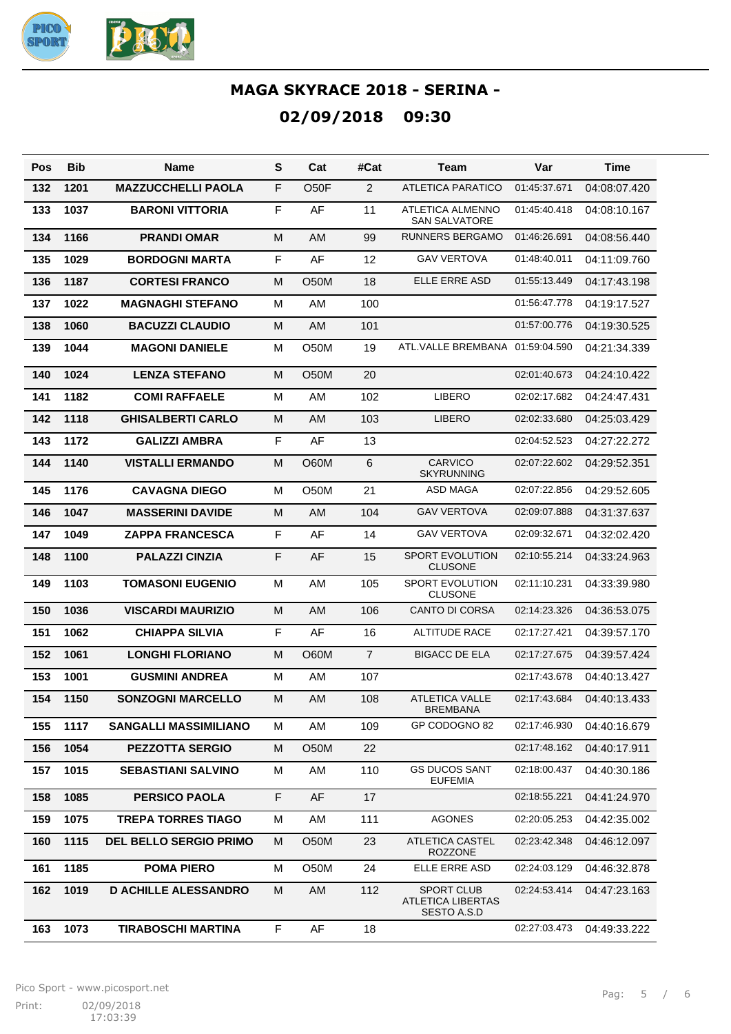

| Pos | <b>Bib</b> | Name                          | S           | Cat               | #Cat           | Team                                                  | Var          | Time         |
|-----|------------|-------------------------------|-------------|-------------------|----------------|-------------------------------------------------------|--------------|--------------|
| 132 | 1201       | <b>MAZZUCCHELLI PAOLA</b>     | F           | O <sub>5</sub> OF | $\overline{2}$ | <b>ATLETICA PARATICO</b>                              | 01:45:37.671 | 04:08:07.420 |
| 133 | 1037       | <b>BARONI VITTORIA</b>        | F           | AF                | 11             | ATLETICA ALMENNO<br><b>SAN SALVATORE</b>              | 01:45:40.418 | 04:08:10.167 |
| 134 | 1166       | <b>PRANDI OMAR</b>            | M           | AM                | 99             | <b>RUNNERS BERGAMO</b>                                | 01:46:26.691 | 04:08:56.440 |
| 135 | 1029       | <b>BORDOGNI MARTA</b>         | F           | AF                | 12             | <b>GAV VERTOVA</b>                                    | 01:48:40.011 | 04:11:09.760 |
| 136 | 1187       | <b>CORTESI FRANCO</b>         | M           | O50M              | 18             | ELLE ERRE ASD                                         | 01:55:13.449 | 04:17:43.198 |
| 137 | 1022       | <b>MAGNAGHI STEFANO</b>       | M           | AM                | 100            |                                                       | 01:56:47.778 | 04:19:17.527 |
| 138 | 1060       | <b>BACUZZI CLAUDIO</b>        | M           | AM                | 101            |                                                       | 01:57:00.776 | 04:19:30.525 |
| 139 | 1044       | <b>MAGONI DANIELE</b>         | M           | <b>O50M</b>       | 19             | ATL.VALLE BREMBANA                                    | 01.59.04.590 | 04:21:34.339 |
| 140 | 1024       | <b>LENZA STEFANO</b>          | M           | O50M              | 20             |                                                       | 02:01:40.673 | 04:24:10.422 |
| 141 | 1182       | <b>COMI RAFFAELE</b>          | M           | AM                | 102            | <b>LIBERO</b>                                         | 02:02:17.682 | 04:24:47.431 |
| 142 | 1118       | <b>GHISALBERTI CARLO</b>      | M           | AM                | 103            | <b>LIBERO</b>                                         | 02:02:33.680 | 04:25:03.429 |
| 143 | 1172       | <b>GALIZZI AMBRA</b>          | $\mathsf F$ | AF                | 13             |                                                       | 02:04:52.523 | 04:27:22.272 |
| 144 | 1140       | <b>VISTALLI ERMANDO</b>       | M           | O60M              | 6              | <b>CARVICO</b><br><b>SKYRUNNING</b>                   | 02:07:22.602 | 04:29:52.351 |
| 145 | 1176       | <b>CAVAGNA DIEGO</b>          | M           | O50M              | 21             | ASD MAGA                                              | 02:07:22.856 | 04:29:52.605 |
| 146 | 1047       | <b>MASSERINI DAVIDE</b>       | M           | AM                | 104            | <b>GAV VERTOVA</b>                                    | 02:09:07.888 | 04:31:37.637 |
| 147 | 1049       | <b>ZAPPA FRANCESCA</b>        | F           | AF                | 14             | <b>GAV VERTOVA</b>                                    | 02:09:32.671 | 04:32:02.420 |
| 148 | 1100       | <b>PALAZZI CINZIA</b>         | F           | AF                | 15             | <b>SPORT EVOLUTION</b><br><b>CLUSONE</b>              | 02:10:55.214 | 04:33:24.963 |
| 149 | 1103       | <b>TOMASONI EUGENIO</b>       | M           | AM                | 105            | <b>SPORT EVOLUTION</b><br><b>CLUSONE</b>              | 02:11:10.231 | 04:33:39.980 |
| 150 | 1036       | <b>VISCARDI MAURIZIO</b>      | M           | AM                | 106            | CANTO DI CORSA                                        | 02:14:23.326 | 04:36:53.075 |
| 151 | 1062       | <b>CHIAPPA SILVIA</b>         | $\mathsf F$ | AF                | 16             | <b>ALTITUDE RACE</b>                                  | 02:17:27.421 | 04:39:57.170 |
| 152 | 1061       | <b>LONGHI FLORIANO</b>        | M           | O60M              | $\overline{7}$ | <b>BIGACC DE ELA</b>                                  | 02:17:27.675 | 04:39:57.424 |
| 153 | 1001       | <b>GUSMINI ANDREA</b>         | M           | AM                | 107            |                                                       | 02:17:43.678 | 04:40:13.427 |
| 154 | 1150       | <b>SONZOGNI MARCELLO</b>      | M           | AM                | 108            | <b>ATLETICA VALLE</b><br>BREMBANA                     | 02:17:43.684 | 04:40:13.433 |
| 155 | 1117       | <b>SANGALLI MASSIMILIANO</b>  | М           | AM                | 109            | GP CODOGNO 82                                         | 02:17:46.930 | 04:40:16.679 |
| 156 | 1054       | <b>PEZZOTTA SERGIO</b>        | M           | O <sub>5</sub> 0M | 22             |                                                       | 02:17:48.162 | 04:40:17.911 |
| 157 | 1015       | <b>SEBASTIANI SALVINO</b>     | M           | AM                | 110            | <b>GS DUCOS SANT</b><br><b>EUFEMIA</b>                | 02:18:00.437 | 04:40:30.186 |
| 158 | 1085       | <b>PERSICO PAOLA</b>          | F           | AF                | 17             |                                                       | 02:18:55.221 | 04:41:24.970 |
| 159 | 1075       | <b>TREPA TORRES TIAGO</b>     | M           | AM                | 111            | <b>AGONES</b>                                         | 02:20:05.253 | 04:42:35.002 |
| 160 | 1115       | <b>DEL BELLO SERGIO PRIMO</b> | м           | <b>O50M</b>       | 23             | <b>ATLETICA CASTEL</b><br><b>ROZZONE</b>              | 02:23:42.348 | 04:46:12.097 |
| 161 | 1185       | <b>POMA PIERO</b>             | M           | O50M              | 24             | ELLE ERRE ASD                                         | 02:24:03.129 | 04:46:32.878 |
| 162 | 1019       | <b>D ACHILLE ALESSANDRO</b>   | M           | AM                | 112            | <b>SPORT CLUB</b><br>ATLETICA LIBERTAS<br>SESTO A.S.D | 02:24:53.414 | 04:47:23.163 |
| 163 | 1073       | <b>TIRABOSCHI MARTINA</b>     | F           | AF                | 18             |                                                       | 02:27:03.473 | 04:49:33.222 |